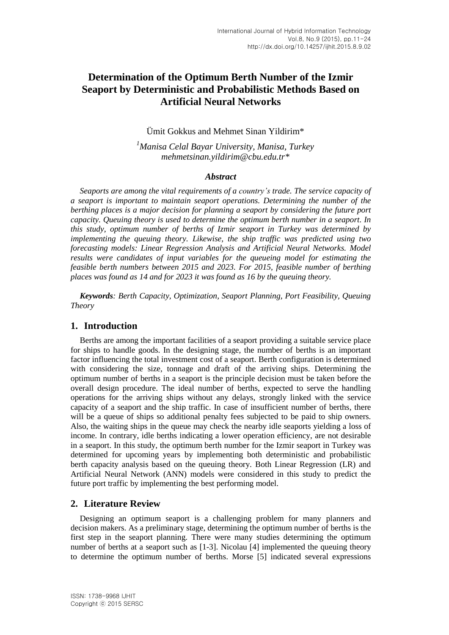# **Determination of the Optimum Berth Number of the Izmir Seaport by Deterministic and Probabilistic Methods Based on Artificial Neural Networks**

Ümit Gokkus and Mehmet Sinan Yildirim\*

*<sup>1</sup>Manisa Celal Bayar University, Manisa, Turkey [mehmetsinan.yildirim@cbu.edu.tr\\*](mailto:mehmetsinan.yildirim@cbu.edu.tr)*

## *Abstract*

*Seaports are among the vital requirements of a country's trade. The service capacity of a seaport is important to maintain seaport operations. Determining the number of the berthing places is a major decision for planning a seaport by considering the future port capacity. Queuing theory is used to determine the optimum berth number in a seaport. In this study, optimum number of berths of Izmir seaport in Turkey was determined by implementing the queuing theory. Likewise, the ship traffic was predicted using two forecasting models: Linear Regression Analysis and Artificial Neural Networks. Model results were candidates of input variables for the queueing model for estimating the feasible berth numbers between 2015 and 2023. For 2015, feasible number of berthing places was found as 14 and for 2023 it was found as 16 by the queuing theory.*

*Keywords: Berth Capacity, Optimization, Seaport Planning, Port Feasibility, Queuing Theory*

## **1. Introduction**

Berths are among the important facilities of a seaport providing a suitable service place for ships to handle goods. In the designing stage, the number of berths is an important factor influencing the total investment cost of a seaport. Berth configuration is determined with considering the size, tonnage and draft of the arriving ships. Determining the optimum number of berths in a seaport is the principle decision must be taken before the overall design procedure. The ideal number of berths, expected to serve the handling operations for the arriving ships without any delays, strongly linked with the service capacity of a seaport and the ship traffic. In case of insufficient number of berths, there will be a queue of ships so additional penalty fees subjected to be paid to ship owners. Also, the waiting ships in the queue may check the nearby idle seaports yielding a loss of income. In contrary, idle berths indicating a lower operation efficiency, are not desirable in a seaport. In this study, the optimum berth number for the Izmir seaport in Turkey was determined for upcoming years by implementing both deterministic and probabilistic berth capacity analysis based on the queuing theory. Both Linear Regression (LR) and Artificial Neural Network (ANN) models were considered in this study to predict the future port traffic by implementing the best performing model.

## **2. Literature Review**

Designing an optimum seaport is a challenging problem for many planners and decision makers. As a preliminary stage, determining the optimum number of berths is the first step in the seaport planning. There were many studies determining the optimum number of berths at a seaport such as [1-3]. Nicolau [4] implemented the queuing theory to determine the optimum number of berths. Morse [5] indicated several expressions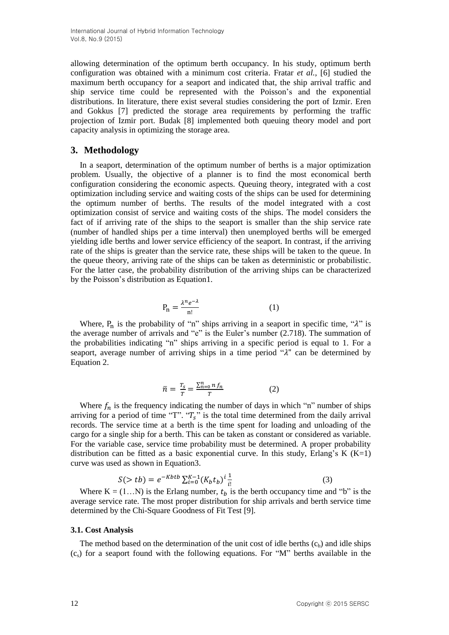International Journal of Hybrid Information Technology Vol.8, No.9 (2015)

allowing determination of the optimum berth occupancy. In his study, optimum berth configuration was obtained with a minimum cost criteria. Fratar *et al.*, [6] studied the maximum berth occupancy for a seaport and indicated that, the ship arrival traffic and ship service time could be represented with the Poisson's and the exponential distributions. In literature, there exist several studies considering the port of Izmir. Eren and Gokkus [7] predicted the storage area requirements by performing the traffic projection of Izmir port. Budak [8] implemented both queuing theory model and port capacity analysis in optimizing the storage area.

## **3. Methodology**

In a seaport, determination of the optimum number of berths is a major optimization problem. Usually, the objective of a planner is to find the most economical berth configuration considering the economic aspects. Queuing theory, integrated with a cost optimization including service and waiting costs of the ships can be used for determining the optimum number of berths. The results of the model integrated with a cost optimization consist of service and waiting costs of the ships. The model considers the fact of if arriving rate of the ships to the seaport is smaller than the ship service rate (number of handled ships per a time interval) then unemployed berths will be emerged yielding idle berths and lower service efficiency of the seaport. In contrast, if the arriving rate of the ships is greater than the service rate, these ships will be taken to the queue. In the queue theory, arriving rate of the ships can be taken as deterministic or probabilistic. For the latter case, the probability distribution of the arriving ships can be characterized by the Poisson's distribution as Equation1.

$$
P_n = \frac{\lambda^n e^{-\lambda}}{n!}
$$
 (1)

Where,  $P_n$  is the probability of "n" ships arriving in a seaport in specific time, " $\lambda$ " is the average number of arrivals and "e" is the Euler's number (2.718). The summation of the probabilities indicating "n" ships arriving in a specific period is equal to 1. For a seaport, average number of arriving ships in a time period  $\alpha$  can be determined by Equation 2.

$$
\bar{n} = \frac{T_s}{T} = \frac{\sum_{n=0}^{n} n f_n}{T} \tag{2}
$$

Where  $f_n$  is the frequency indicating the number of days in which "n" number of ships arriving for a period of time "T". " $T_s$ " is the total time determined from the daily arrival records. The service time at a berth is the time spent for loading and unloading of the cargo for a single ship for a berth. This can be taken as constant or considered as variable. For the variable case, service time probability must be determined. A proper probability distribution can be fitted as a basic exponential curve. In this study, Erlang's K  $(K=1)$ curve was used as shown in Equation3.

$$
S(> tb) = e^{-Kbtb} \sum_{i=0}^{K-1} (K_b t_b)^i \frac{1}{i!}
$$
 (3)

Where  $K = (1...N)$  is the Erlang number,  $t<sub>b</sub>$  is the berth occupancy time and "b" is the average service rate. The most proper distribution for ship arrivals and berth service time determined by the Chi-Square Goodness of Fit Test [9].

#### **3.1. Cost Analysis**

The method based on the determination of the unit cost of idle berths  $(c_b)$  and idle ships  $(c<sub>s</sub>)$  for a seaport found with the following equations. For "M" berths available in the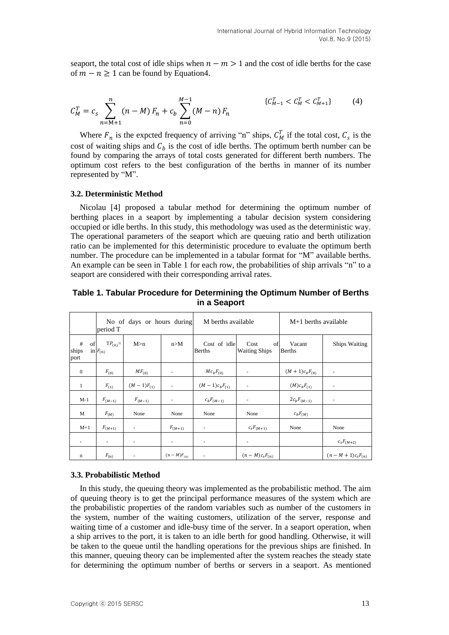seaport, the total cost of idle ships when  $n - m > 1$  and the cost of idle berths for the case of  $m - n > 1$  can be found by Equation 4.

$$
C_M^T = c_s \sum_{n=M+1}^n (n-M) F_n + c_b \sum_{n=0}^{M-1} (M-n) F_n \qquad \{C_{M-1}^T < C_M^T < C_{M+1}^T\} \tag{4}
$$

Where  $F_n$  is the expcted frequency of arriving "n" ships,  $C_M^T$  if the total cost,  $C_s$  is the cost of waiting ships and  $C<sub>b</sub>$  is the cost of idle berths. The optimum berth number can be found by comparing the arrays of total costs generated for different berth numbers. The optimum cost refers to the best configuration of the berths in manner of its number represented by "M".

#### **3.2. Deterministic Method**

Nicolau [4] proposed a tabular method for determining the optimum number of berthing places in a seaport by implementing a tabular decision system considering occupied or idle berths. In this study, this methodology was used as the deterministic way. The operational parameters of the seaport which are queuing ratio and berth utilization ratio can be implemented for this deterministic procedure to evaluate the optimum berth number. The procedure can be implemented in a tabular format for "M" available berths. An example can be seen in Table 1 for each row, the probabilities of ship arrivals "n" to a seaport are considered with their corresponding arrival rates.

**Table 1. Tabular Procedure for Determining the Optimum Number of Berths in a Seaport**

|                          | period T                    | No of days or hours during |                          | M berths available            |                                    | $M+1$ berths available  |                          |  |
|--------------------------|-----------------------------|----------------------------|--------------------------|-------------------------------|------------------------------------|-------------------------|--------------------------|--|
| #<br>of<br>ships<br>port | $TP_{(n)}=$<br>in $F_{(n)}$ | M>n                        | n>M                      | Cost of idle<br><b>Berths</b> | of<br>Cost<br><b>Waiting Ships</b> | Vacant<br><b>Berths</b> | <b>Ships Waiting</b>     |  |
| $\overline{0}$           | $F_{(0)}$                   | $MF_{(0)}$                 | ٠                        | $Mc_bF_{(0)}$                 |                                    | $(M + 1)c_bF_{(0)}$     | ٠                        |  |
| 1                        | $F_{(1)}$                   | $(M-1)F_{(1)}$             | $\overline{\phantom{a}}$ | $(M-1)c_bF_{(1)}$             | $\overline{\phantom{a}}$           | $(M)c_bF_{(1)}$         | $\overline{\phantom{a}}$ |  |
| $M-1$                    | $F_{(M-1)}$                 | $F_{(M-1)}$                | ٠                        | $c_b F_{(M-1)}$               | ۰                                  | $2c_bF_{(M-1)}$         | ٠                        |  |
| M                        | $F_{(M)}$                   | None                       | None                     | None                          | None                               | $c_bF_{(M)}$            |                          |  |
| $M+1$                    | $F_{(M+1)}$                 | ٠                          | $F_{(M+1)}$              | ۰                             | $c_s F_{(M+1)}$                    | None                    | None                     |  |
| ٠                        | $\overline{\phantom{a}}$    | $\overline{\phantom{a}}$   | $\overline{\phantom{a}}$ | $\overline{\phantom{a}}$      | ٠                                  |                         | $c_s F_{(M+2)}$          |  |
| $\mathbf n$              | $F_{(n)}$                   |                            | $(n - M)F_{(n)}$         | $\overline{\phantom{a}}$      | $(n-M)c_sF_{(n)}$                  |                         | $(n - M + 1)c_sF_{(n)}$  |  |

#### **3.3. Probabilistic Method**

In this study, the queuing theory was implemented as the probabilistic method. The aim of queuing theory is to get the principal performance measures of the system which are the probabilistic properties of the random variables such as number of the customers in the system, number of the waiting customers, utilization of the server, response and waiting time of a customer and idle-busy time of the server. In a seaport operation, when a ship arrives to the port, it is taken to an idle berth for good handling. Otherwise, it will be taken to the queue until the handling operations for the previous ships are finished. In this manner, queuing theory can be implemented after the system reaches the steady state for determining the optimum number of berths or servers in a seaport. As mentioned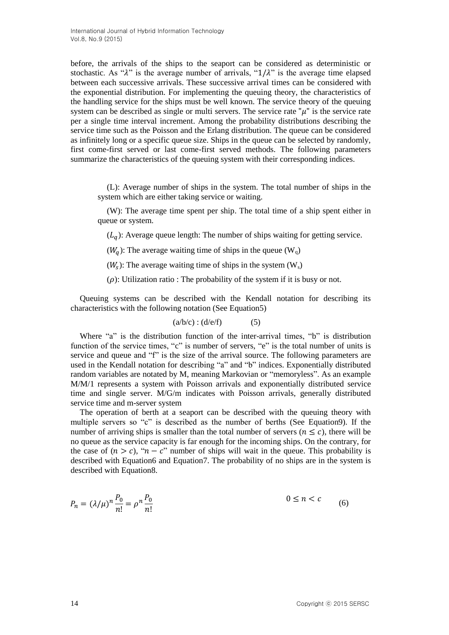before, the arrivals of the ships to the seaport can be considered as deterministic or stochastic. As " $\lambda$ " is the average number of arrivals, " $1/\lambda$ " is the average time elapsed between each successive arrivals. These successive arrival times can be considered with the exponential distribution. For implementing the queuing theory, the characteristics of the handling service for the ships must be well known. The service theory of the queuing system can be described as single or multi servers. The service rate " $\mu$ " is the service rate per a single time interval increment. Among the probability distributions describing the service time such as the Poisson and the Erlang distribution. The queue can be considered as infinitely long or a specific queue size. Ships in the queue can be selected by randomly, first come-first served or last come-first served methods. The following parameters summarize the characteristics of the queuing system with their corresponding indices.

(L): Average number of ships in the system. The total number of ships in the system which are either taking service or waiting.

(W): The average time spent per ship. The total time of a ship spent either in queue or system.

 $(L_{q})$ : Average queue length: The number of ships waiting for getting service.

 $(W<sub>a</sub>)$ : The average waiting time of ships in the queue  $(W<sub>a</sub>)$ 

 $(W<sub>s</sub>)$ : The average waiting time of ships in the system  $(W<sub>s</sub>)$ 

 $(\rho)$ : Utilization ratio : The probability of the system if it is busy or not.

Queuing systems can be described with the Kendall notation for describing its characteristics with the following notation (See Equation5)

$$
(a/b/c):(d/e/f) \qquad \qquad (5)
$$

Where "a" is the distribution function of the inter-arrival times, "b" is distribution function of the service times, "c" is number of servers, "e" is the total number of units is service and queue and "f" is the size of the arrival source. The following parameters are used in the Kendall notation for describing "a" and "b" indices. Exponentially distributed random variables are notated by M, meaning Markovian or "memoryless". As an example M/M/1 represents a system with Poisson arrivals and exponentially distributed service time and single server. M/G/m indicates with Poisson arrivals, generally distributed service time and m-server system

The operation of berth at a seaport can be described with the queuing theory with multiple servers so "c" is described as the number of berths (See Equation9). If the number of arriving ships is smaller than the total number of servers ( $n \leq c$ ), there will be no queue as the service capacity is far enough for the incoming ships. On the contrary, for the case of  $(n > c)$ , " $n - c$ " number of ships will wait in the queue. This probability is described with Equation6 and Equation7. The probability of no ships are in the system is described with Equation8.

$$
P_n = (\lambda/\mu)^n \frac{P_0}{n!} = \rho^n \frac{P_0}{n!}
$$
\n
$$
0 \le n < c \tag{6}
$$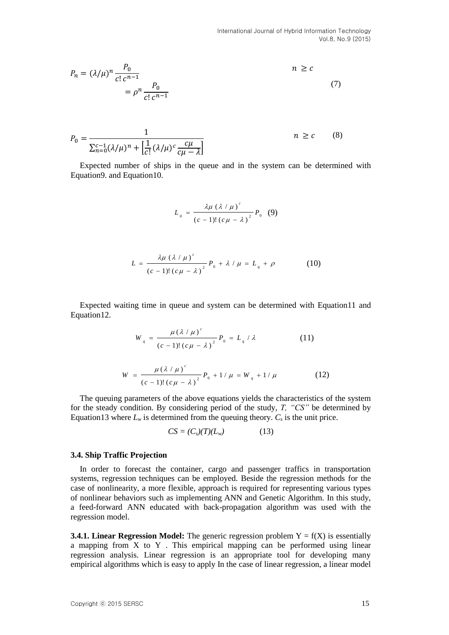$$
P_n = (\lambda/\mu)^n \frac{P_0}{c! \, c^{n-1}}
$$
\n
$$
= \rho^n \frac{P_0}{c! \, c^{n-1}}
$$
\n(7)

$$
P_0 = \frac{1}{\sum_{n=0}^{c-1} (\lambda/\mu)^n + \left[\frac{1}{c!} (\lambda/\mu)^c \frac{c\mu}{c\mu - \lambda}\right]}
$$
   
  $n \ge c$  (8)

Expected number of ships in the queue and in the system can be determined with Equation9. and Equation10.

$$
L_q = \frac{\lambda \mu \left(\lambda / \mu\right)^c}{\left(c - 1\right)! \left(c \mu - \lambda\right)^2} P_0 \quad (9)
$$

$$
L = \frac{\lambda \mu \left(\lambda / \mu\right)^{c}}{\left(c-1\right)! \left(c\mu - \lambda\right)^{2}} P_{0} + \lambda / \mu = L_{q} + \rho \tag{10}
$$

Expected waiting time in queue and system can be determined with Equation11 and Equation12.

$$
W_{q} = \frac{\mu (\lambda / \mu)^{c}}{(c-1)!(c\mu - \lambda)^{2}} P_{0} = L_{q} / \lambda
$$
 (11)

$$
W = \frac{\mu (\lambda / \mu)^c}{(c-1)! (c\mu - \lambda)^2} P_0 + 1/\mu = W_q + 1/\mu
$$
 (12)

The queuing parameters of the above equations yields the characteristics of the system for the steady condition. By considering period of the study, *T, "CS"* be determined by Equation13 where  $L_w$  is determined from the queuing theory.  $C_s$  is the unit price.

$$
CS = (C_s)(T)(L_w) \tag{13}
$$

#### **3.4. Ship Traffic Projection**

In order to forecast the container, cargo and passenger traffics in transportation systems, regression techniques can be employed. Beside the regression methods for the case of nonlinearity, a more flexible, approach is required for representing various types of nonlinear behaviors such as implementing ANN and Genetic Algorithm. In this study, a feed-forward ANN educated with back-propagation algorithm was used with the regression model.

**3.4.1. Linear Regression Model:** The generic regression problem  $Y = f(X)$  is essentially a mapping from X to Y . This empirical mapping can be performed using linear regression analysis. Linear regression is an appropriate tool for developing many empirical algorithms which is easy to apply In the case of linear regression, a linear model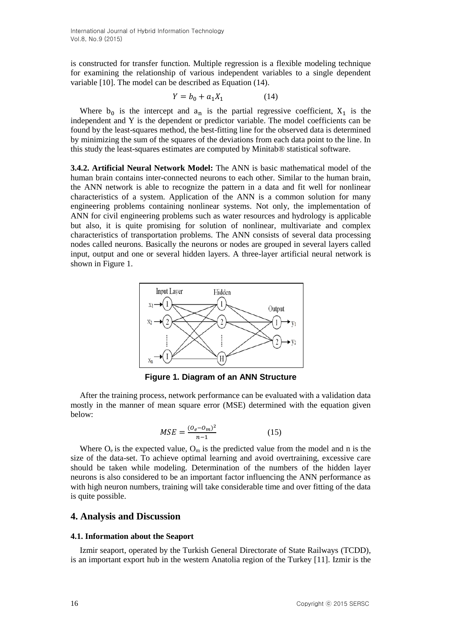is constructed for transfer function. Multiple regression is a flexible modeling technique for examining the relationship of various independent variables to a single dependent variable [10]. The model can be described as Equation (14).

$$
Y = b_0 + a_1 X_1 \tag{14}
$$

Where  $b_0$  is the intercept and  $a_n$  is the partial regressive coefficient,  $X_1$  is the independent and Y is the dependent or predictor variable. The model coefficients can be found by the least-squares method, the best-fitting line for the observed data is determined by minimizing the sum of the squares of the deviations from each data point to the line. In this study the least-squares estimates are computed by Minitab® statistical software.

**3.4.2. Artificial Neural Network Model:** The ANN is basic mathematical model of the human brain contains inter-connected neurons to each other. Similar to the human brain, the ANN network is able to recognize the pattern in a data and fit well for nonlinear characteristics of a system. Application of the ANN is a common solution for many engineering problems containing nonlinear systems. Not only, the implementation of ANN for civil engineering problems such as water resources and hydrology is applicable but also, it is quite promising for solution of nonlinear, multivariate and complex characteristics of transportation problems. The ANN consists of several data processing nodes called neurons. Basically the neurons or nodes are grouped in several layers called input, output and one or several hidden layers. A three-layer artificial neural network is shown in Figure 1.



**Figure 1. Diagram of an ANN Structure**

After the training process, network performance can be evaluated with a validation data mostly in the manner of mean square error (MSE) determined with the equation given below:

$$
MSE = \frac{(O_e - O_m)^2}{n - 1}
$$
 (15)

Where  $O_e$  is the expected value,  $O_m$  is the predicted value from the model and n is the size of the data-set. To achieve optimal learning and avoid overtraining, excessive care should be taken while modeling. Determination of the numbers of the hidden layer neurons is also considered to be an important factor influencing the ANN performance as with high neuron numbers, training will take considerable time and over fitting of the data is quite possible.

## **4. Analysis and Discussion**

## **4.1. Information about the Seaport**

Izmir seaport, operated by the Turkish General Directorate of State Railways (TCDD), is an important export hub in the western Anatolia region of the Turkey [11]. Izmir is the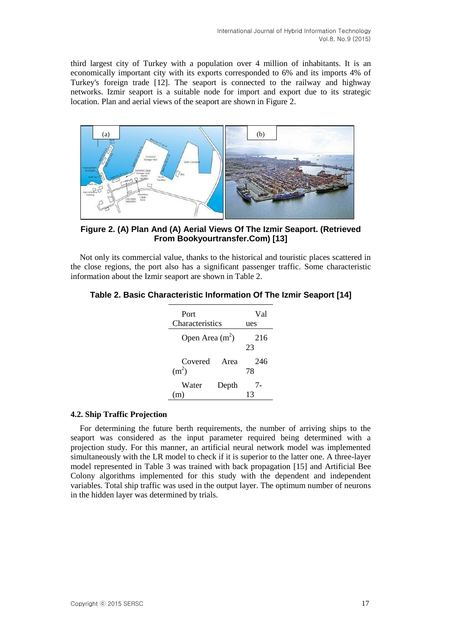third largest city of Turkey with a population over 4 million of inhabitants. It is an economically important city with its exports corresponded to 6% and its imports 4% of Turkey's foreign trade [12]. The seaport is connected to the railway and highway networks. Izmir seaport is a suitable node for import and export due to its strategic location. Plan and aerial views of the seaport are shown in Figure 2.



**Figure 2. (A) Plan And (A) Aerial Views Of The Izmir Seaport. (Retrieved From Bookyourtransfer.Com) [13]**

Not only its commercial value, thanks to the historical and touristic places scattered in the close regions, the port also has a significant passenger traffic. Some characteristic information about the Izmir seaport are shown in Table 2.

|  | Table 2. Basic Characteristic Information Of The Izmir Seaport [14] |  |  |  |  |
|--|---------------------------------------------------------------------|--|--|--|--|
|--|---------------------------------------------------------------------|--|--|--|--|

| Port                         |                 | Val       |  |  |  |  |  |
|------------------------------|-----------------|-----------|--|--|--|--|--|
|                              | Characteristics |           |  |  |  |  |  |
| Open Area $(m2)$             | 216<br>23       |           |  |  |  |  |  |
| Covered<br>(m <sup>2</sup> ) | Area            | 246<br>78 |  |  |  |  |  |
| Water<br>(m)                 | Depth           | 7-<br>13  |  |  |  |  |  |

## **4.2. Ship Traffic Projection**

For determining the future berth requirements, the number of arriving ships to the seaport was considered as the input parameter required being determined with a projection study. For this manner, an artificial neural network model was implemented simultaneously with the LR model to check if it is superior to the latter one. A three-layer model represented in Table 3 was trained with back propagation [15] and Artificial Bee Colony algorithms implemented for this study with the dependent and independent variables. Total ship traffic was used in the output layer. The optimum number of neurons in the hidden layer was determined by trials.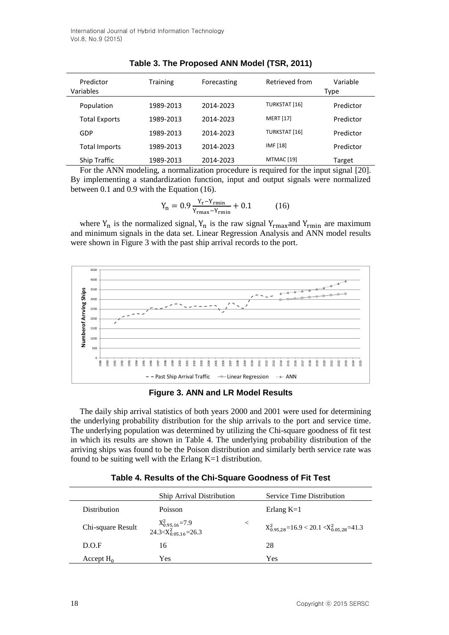| Predictor<br>Variables | <b>Training</b> | Forecasting |                      | Variable<br>Type |
|------------------------|-----------------|-------------|----------------------|------------------|
| Population             | 1989-2013       | 2014-2023   | <b>TURKSTAT [16]</b> | Predictor        |
| <b>Total Exports</b>   | 1989-2013       | 2014-2023   | <b>MERT</b> [17]     | Predictor        |
| GDP                    | 1989-2013       | 2014-2023   | <b>TURKSTAT [16]</b> | Predictor        |
| <b>Total Imports</b>   | 1989-2013       | 2014-2023   | IMF [18]             | Predictor        |
| <b>Ship Traffic</b>    | 1989-2013       | 2014-2023   | MTMAC [19]           | Target           |

**Table 3. The Proposed ANN Model (TSR, 2011)**

For the ANN modeling, a normalization procedure is required for the input signal [20]. By implementing a standardization function, input and output signals were normalized between 0.1 and 0.9 with the Equation (16).

$$
Y_{n} = 0.9 \frac{Y_{r} - Y_{rmin}}{Y_{rmax} - Y_{rmin}} + 0.1
$$
 (16)

where  $Y_n$  is the normalized signal,  $Y_n$  is the raw signal  $Y_{rmax}$  and  $Y_{rmin}$  are maximum and minimum signals in the data set. Linear Regression Analysis and ANN model results were shown in Figure 3 with the past ship arrival records to the port.



**Figure 3. ANN and LR Model Results**

The daily ship arrival statistics of both years 2000 and 2001 were used for determining the underlying probability distribution for the ship arrivals to the port and service time. The underlying population was determined by utilizing the Chi-square goodness of fit test in which its results are shown in Table 4. The underlying probability distribution of the arriving ships was found to be the Poison distribution and similarly berth service rate was found to be suiting well with the Erlang  $K=1$  distribution.

|                     | <b>Ship Arrival Distribution</b>                    |         | Service Time Distribution                                |
|---------------------|-----------------------------------------------------|---------|----------------------------------------------------------|
| <b>Distribution</b> | <b>Poisson</b>                                      |         | Erlang $K=1$                                             |
| Chi-square Result   | $X_{0.95,16}^2$ =7.9<br>24.3< $X_{0.05,16}^2$ =26.3 | $\,<\,$ | $X_{0.95,28}^{2}$ =16.9 < 20.1 < $X_{0.05,28}^{2}$ =41.3 |
| D.O.F               | 16                                                  |         | 28                                                       |
| Accept $H_0$        | Yes                                                 |         | Yes                                                      |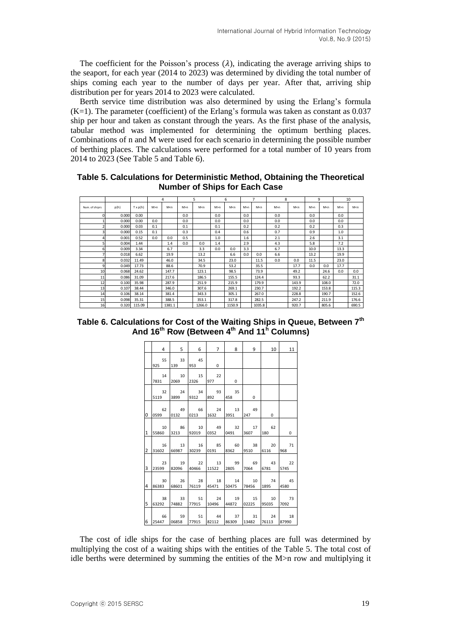The coefficient for the Poisson's process  $(\lambda)$ , indicating the average arriving ships to the seaport, for each year (2014 to 2023) was determined by dividing the total number of ships coming each year to the number of days per year. After that, arriving ship distribution per for years 2014 to 2023 were calculated.

Berth service time distribution was also determined by using the Erlang's formula  $(K=1)$ . The parameter (coefficient) of the Erlang's formula was taken as constant as 0.037 ship per hour and taken as constant through the years. As the first phase of the analysis, tabular method was implemented for determining the optimum berthing places. Combinations of n and M were used for each scenario in determining the possible number of berthing places. The calculations were performed for a total number of 10 years from to 2023 (See Table 5 and Table 6).

<span id="page-8-0"></span>**Table 5. Calculations for Deterministic Method, Obtaining the Theoretical Number of Ships for Each Case**

|                 |       |         |       | 4      |       | 5      |     | 6                                                                                                                                                               |       | 7                                                                                                                     | 8     |       | $\mathbf{q}$ |       |      | 10    |
|-----------------|-------|---------|-------|--------|-------|--------|-----|-----------------------------------------------------------------------------------------------------------------------------------------------------------------|-------|-----------------------------------------------------------------------------------------------------------------------|-------|-------|--------------|-------|------|-------|
| Num. of shiprs  | p(h)  | Tx p(h) | M > n | M < n  | M > n | M < n  | M>n | M <n< td=""><td>M &gt; n</td><td>M<n< td=""><td>M &gt; n</td><td>M &lt; n</td><td>M &gt; n</td><td>M &lt; n</td><td>M&gt;n</td><td>M &lt; n</td></n<></td></n<> | M > n | M <n< td=""><td>M &gt; n</td><td>M &lt; n</td><td>M &gt; n</td><td>M &lt; n</td><td>M&gt;n</td><td>M &lt; n</td></n<> | M > n | M < n | M > n        | M < n | M>n  | M < n |
| $\Omega$        | 0.000 | 0.00    |       |        | 0.0   |        | 0.0 |                                                                                                                                                                 | 0.0   |                                                                                                                       | 0.0   |       | 0.0          |       | 0.0  |       |
|                 | 0.000 | 0.00    | 0.0   |        | 0.0   |        | 0.0 |                                                                                                                                                                 | 0.0   |                                                                                                                       | 0.0   |       | 0.0          |       | 0.0  |       |
| 2               | 0.000 | 0.03    | 0.1   |        | 0.1   |        | 0.1 |                                                                                                                                                                 | 0.2   |                                                                                                                       | 0.2   |       | 0.2          |       | 0.3  |       |
| 3               | 0.000 | 0.15    | 0.1   |        | 0.3   |        | 0.4 |                                                                                                                                                                 | 0.6   |                                                                                                                       | 0.7   |       | 0.9          |       | 1.0  |       |
| 4               | 0.001 | 0.52    | 0.0   | 0.0    | 0.5   |        | 1.0 |                                                                                                                                                                 | 1.6   |                                                                                                                       | 2.1   |       | 2.6          |       | 3.1  |       |
| 5               | 0.004 | 1.44    |       | 1.4    | 0.0   | 0.0    | 1.4 |                                                                                                                                                                 | 2.9   |                                                                                                                       | 4.3   |       | 5.8          |       | 7.2  |       |
| 6               | 0.009 | 3.34    |       | 6.7    |       | 3.3    | 0.0 | 0.0                                                                                                                                                             | 3.3   |                                                                                                                       | 6.7   |       | 10.0         |       | 13.3 |       |
| 7               | 0.018 | 6.62    |       | 19.9   |       | 13.2   |     | 6.6                                                                                                                                                             | 0.0   | 0.0                                                                                                                   | 6.6   |       | 13.2         |       | 19.9 |       |
| 8               | 0.032 | 11.49   |       | 46.0   |       | 34.5   |     | 23.0                                                                                                                                                            |       | 11.5                                                                                                                  | 0.0   | 0.0   | 11.5         |       | 23.0 |       |
| 9               | 0.049 | 17.73   |       | 88.6   |       | 70.9   |     | 53.2                                                                                                                                                            |       | 35.5                                                                                                                  |       | 17.7  | 0.0          | 0.0   | 17.7 |       |
| 10 <sup>1</sup> | 0.068 | 24.62   |       | 147.7  |       | 123.1  |     | 98.5                                                                                                                                                            |       | 73.9                                                                                                                  |       | 49.2  |              | 24.6  | 0.0  | 0.0   |
| 11              | 0.086 | 31.09   |       | 217.6  |       | 186.5  |     | 155.5                                                                                                                                                           |       | 124.4                                                                                                                 |       | 93.3  |              | 62.2  |      | 31.1  |
| 12              | 0.100 | 35.98   |       | 287.9  |       | 251.9  |     | 215.9                                                                                                                                                           |       | 179.9                                                                                                                 |       | 143.9 |              | 108.0 |      | 72.0  |
| 13              | 0.107 | 38.44   |       | 346.0  |       | 307.6  |     | 269.1                                                                                                                                                           |       | 230.7                                                                                                                 |       | 192.2 |              | 153.8 |      | 115.3 |
| 14              | 0.106 | 38.14   |       | 381.4  |       | 343.3  |     | 305.1                                                                                                                                                           |       | 267.0                                                                                                                 |       | 228.8 |              | 190.7 |      | 152.6 |
| 15              | 0.098 | 35.31   |       | 388.5  |       | 353.1  |     | 317.8                                                                                                                                                           |       | 282.5                                                                                                                 |       | 247.2 |              | 211.9 |      | 176.6 |
| 16              | 0.320 | 115.09  |       | 1381.1 |       | 1266.0 |     | 1150.9                                                                                                                                                          |       | 1035.8                                                                                                                |       | 920.7 |              | 805.6 |      | 690.5 |

| Table 6. Calculations for Cost of the Waiting Ships in Queue, Between 7 <sup>th</sup> |  |
|---------------------------------------------------------------------------------------|--|
| And 16 <sup>th</sup> Row (Between 4 <sup>th</sup> And 11 <sup>h</sup> Columns)        |  |

|                | 4           | 5                       | 6           | 7               | 8                 | 9           | 10                       | 11          |
|----------------|-------------|-------------------------|-------------|-----------------|-------------------|-------------|--------------------------|-------------|
|                | 55<br>925   | 33<br>139               | 45<br>953   | 0               |                   |             |                          |             |
|                | 14<br>7831  | 10<br>2069 2326         | 15          | 22<br>977       | 0                 |             |                          |             |
|                | 32<br>5119  | 24<br>3899              | 34<br>9312  | 93<br>892       | 35<br>458         | 0           |                          |             |
| 0              | 62<br>0599  | 49<br>0132              | 66<br>0213  | 24<br>1632      | 13<br>3951        | 49<br>247   | 0                        |             |
| 1              | 10<br>55860 | 86<br>3213              | 10<br>92019 | 49<br>0352      | 32 17<br>0491     | 3607        | 62<br>180                | $\mathbf 0$ |
| $\overline{2}$ | 16          | 13<br>31602 66987 30239 | 16          | 85<br>0191 8362 | 60 38             | 9510        | 20<br>6116               | 71<br>968   |
| 3              | 23<br>23599 | 19<br>82096             | 22<br>40466 | 13<br>11522     | 99 69<br>2805     | 7064        | 43<br>6781               | 22<br>5745  |
| 4              | 30<br>86383 | 26<br>68601             | 28<br>76119 | 18<br>45471     | 14 10<br>50475    | 78456       | 74<br>1895               | 45<br>4580  |
| 5              | 38<br>63292 | 33<br>74882             | 51<br>77915 | 24<br>10496     | 19<br>44872       | 15<br>02225 | 10 <sup>1</sup><br>95035 | 73<br>7092  |
| 6              | 66<br>25447 | 59<br>06858             | 51<br>77915 | 44<br>82112     | 37<br>86309 13482 | 31          | 24<br>76113              | 18<br>87990 |

The cost of idle ships for the case of berthing places are full was determined by multiplying the cost of a waiting ships with the entities of the [Table 5.](#page-8-0) The total cost of idle berths were determined by summing the entities of the M>n row and multiplying it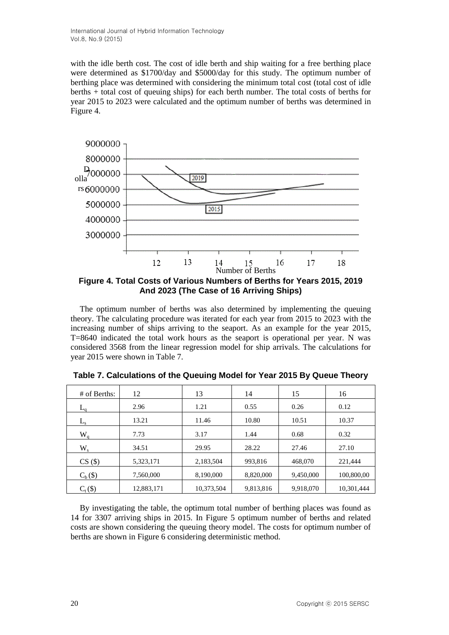with the idle berth cost. The cost of idle berth and ship waiting for a free berthing place were determined as \$1700/day and \$5000/day for this study. The optimum number of berthing place was determined with considering the minimum total cost (total cost of idle berths + total cost of queuing ships) for each berth number. The total costs of berths for year 2015 to 2023 were calculated and the optimum number of berths was determined in Figure 4.



**Figure 4. Total Costs of Various Numbers of Berths for Years 2015, 2019 And 2023 (The Case of 16 Arriving Ships)**

The optimum number of berths was also determined by implementing the queuing theory. The calculating procedure was iterated for each year from 2015 to 2023 with the increasing number of ships arriving to the seaport. As an example for the year 2015, T=8640 indicated the total work hours as the seaport is operational per year. N was considered 3568 from the linear regression model for ship arrivals. The calculations for year 2015 were shown in Table 7.

| $#$ of Berths: | 12         | 13         | 14        | 15        | 16         |
|----------------|------------|------------|-----------|-----------|------------|
| $L_{0}$        | 2.96       | 1.21       | 0.55      | 0.26      | 0.12       |
| L <sub>s</sub> | 13.21      | 11.46      | 10.80     | 10.51     | 10.37      |
| $W_q$          | 7.73       | 3.17       | 1.44      | 0.68      | 0.32       |
| $W_{s}$        | 34.51      | 29.95      | 28.22     | 27.46     | 27.10      |
| $CS($ \$)      | 5,323,171  | 2,183,504  | 993,816   | 468,070   | 221,444    |
| $C_b$ $(\$)$   | 7,560,000  | 8,190,000  | 8,820,000 | 9,450,000 | 100,800,00 |
| $C_{t}(\$)$    | 12,883,171 | 10,373,504 | 9,813,816 | 9,918,070 | 10,301,444 |

**Table 7. Calculations of the Queuing Model for Year 2015 By Queue Theory**

By investigating the table, the optimum total number of berthing places was found as 14 for 3307 arriving ships in 2015. In Figure 5 optimum number of berths and related costs are shown considering the queuing theory model. The costs for optimum number of berths are shown in Figure 6 considering deterministic method.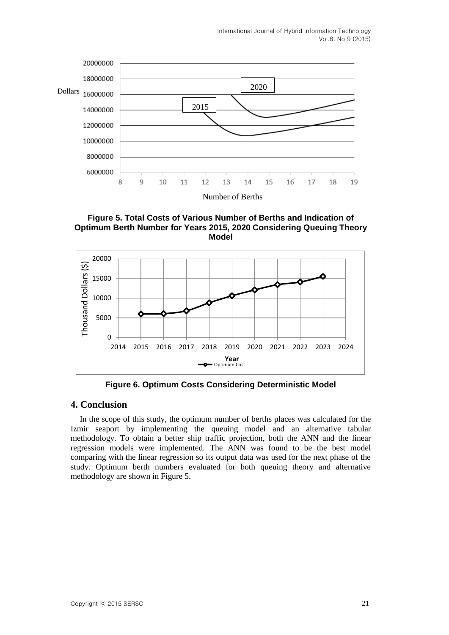

**Figure 5. Total Costs of Various Number of Berths and Indication of Optimum Berth Number for Years 2015, 2020 Considering Queuing Theory Model**



**Figure 6. Optimum Costs Considering Deterministic Model**

## **4. Conclusion**

In the scope of this study, the optimum number of berths places was calculated for the Izmir seaport by implementing the queuing model and an alternative tabular methodology. To obtain a better ship traffic projection, both the ANN and the linear regression models were implemented. The ANN was found to be the best model comparing with the linear regression so its output data was used for the next phase of the study. Optimum berth numbers evaluated for both queuing theory and alternative methodology are shown in Figure 5.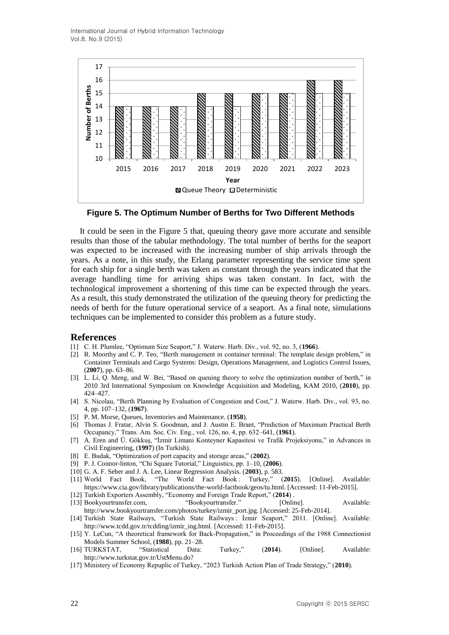International Journal of Hybrid Information Technology Vol.8, No.9 (2015)



**Figure 5. The Optimum Number of Berths for Two Different Methods**

It could be seen in the Figure 5 that, queuing theory gave more accurate and sensible results than those of the tabular methodology. The total number of berths for the seaport was expected to be increased with the increasing number of ship arrivals through the years. As a note, in this study, the Erlang parameter representing the service time spent for each ship for a single berth was taken as constant through the years indicated that the average handling time for arriving ships was taken constant. In fact, with the technological improvement a shortening of this time can be expected through the years. As a result, this study demonstrated the utilization of the queuing theory for predicting the needs of berth for the future operational service of a seaport. As a final note, simulations techniques can be implemented to consider this problem as a future study.

#### **References**

- [1] C. H. Plumlee, "Optimum Size Seaport," J. Waterw. Harb. Div., vol. 92, no. 3, (**1966**).
- [2] R. Moorthy and C. P. Teo, "Berth management in container terminal: The template design problem," in Container Terminals and Cargo Systems: Design, Operations Management, and Logistics Control Issues, (**2007**), pp. 63–86.
- [3] L. Li, Q. Meng, and W. Bei, "Based on queuing theory to solve the optimization number of berth," in 2010 3rd International Symposium on Knowledge Acquisition and Modeling, KAM 2010, (**2010**), pp. 424–427.
- [4] S. Nicolau, "Berth Planning by Evaluation of Congestion and Cost," J. Waterw. Harb. Div., vol. 93, no. 4, pp. 107–132, (**1967**).
- [5] P. M. Morse, Queues, Inventories and Maintenance. (**1958**).
- [6] Thomas J. Fratar, Alvin S. Goodman, and J. Austin E. Brant, "Prediction of Maximum Practical Berth Occupancy," Trans. Am. Soc. Civ. Eng., vol. 126, no. 4, pp. 632–641, (**1961**).
- [7] A. Eren and Ü. Gökkuş, "İzmir Limani Konteyner Kapasitesi ve Trafik Projeksiyonu," in Advances in Civil Engineering, (**1997**) (In Turkish).
- [8] E. Budak, "Optimization of port capacity and storage areas," (**2002**).
- [9] P. J. Connor-linton, "Chi Square Tutorial," Linguistics, pp. 1–10, (**2006**).
- [10] G. A. F. Seber and J. A. Lee, Linear Regression Analysis. (**2003**), p. 583.
- [11] World Fact Book, "The World Fact Book : Turkey," (**2015**). [Online]. Available: https://www.cia.gov/library/publications/the-world-factbook/geos/tu.html. [Accessed: 11-Feb-2015].
- [12] Turkish Exporters Assembly, "Economy and Foreign Trade Report," (**2014**) .
- [13] Bookyourtransfer.com, "Bookyourtransfer." [Online]. Available: http://www.bookyourtransfer.com/photos/turkey/izmir\_port.jpg. [Accessed: 25-Feb-2014].
- [14] Turkish State Railways, "Turkish State Railways : İzmir Seaport," 2011. [Online]. Available: http://www.tcdd.gov.tr/tcdding/izmir\_ing.html. [Accessed: 11-Feb-2015].
- [15] Y. LeCun, "A theoretical framework for Back-Propagation," in Proceedings of the 1988 Connectionist Models Summer School, (**1988**), pp. 21–28.
- [16] TURKSTAT, "Statistical Data: Turkey," (**2014**). [Online]. Available: http://www.turkstat.gov.tr/UstMenu.do?
- [17] Ministery of Economy Repuplic of Turkey, "2023 Turkish Action Plan of Trade Strategy," (**2010**).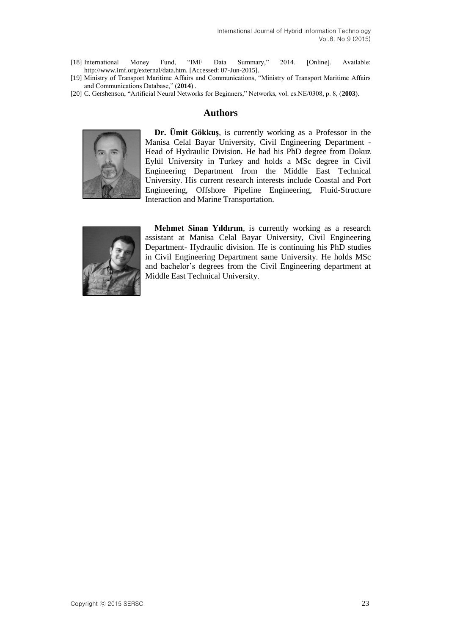- [18] International Money Fund, "IMF Data Summary," 2014. [Online]. Available: http://www.imf.org/external/data.htm. [Accessed: 07-Jun-2015].
- [19] Ministry of Transport Maritime Affairs and Communications, "Ministry of Transport Maritime Affairs and Communications Database," (**2014**) .
- [20] C. Gershenson, "Artificial Neural Networks for Beginners," Networks, vol. cs.NE/0308, p. 8, (**2003**).

## **Authors**



**Dr. Ümit Gökkuş**, is currently working as a Professor in the Manisa Celal Bayar University, Civil Engineering Department - Head of Hydraulic Division. He had his PhD degree from Dokuz Eylül University in Turkey and holds a MSc degree in Civil Engineering Department from the Middle East Technical University. His current research interests include Coastal and Port Engineering, Offshore Pipeline Engineering, Fluid-Structure Interaction and Marine Transportation.



**Mehmet Sinan Yıldırım**, is currently working as a research assistant at Manisa Celal Bayar University, Civil Engineering Department- Hydraulic division. He is continuing his PhD studies in Civil Engineering Department same University. He holds MSc and bachelor's degrees from the Civil Engineering department at Middle East Technical University.